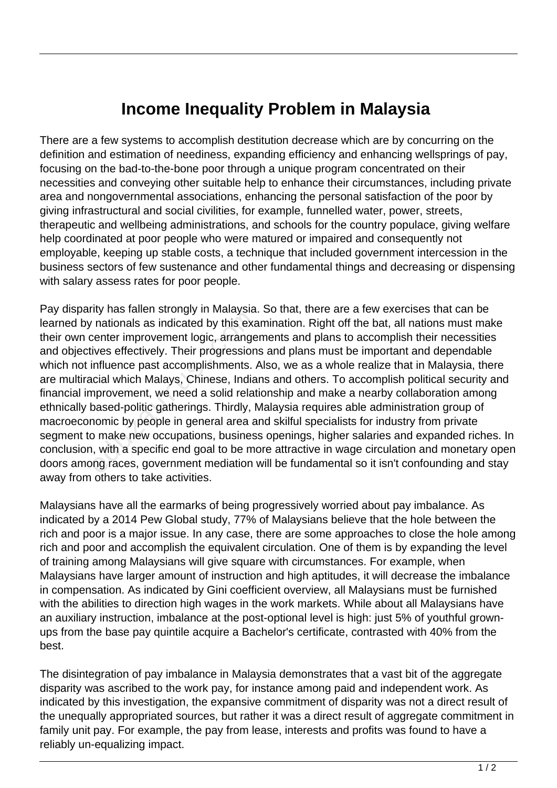## **Income Inequality Problem in Malaysia**

There are a few systems to accomplish destitution decrease which are by concurring on the definition and estimation of neediness, expanding efficiency and enhancing wellsprings of pay, focusing on the bad-to-the-bone poor through a unique program concentrated on their necessities and conveying other suitable help to enhance their circumstances, including private area and nongovernmental associations, enhancing the personal satisfaction of the poor by giving infrastructural and social civilities, for example, funnelled water, power, streets, therapeutic and wellbeing administrations, and schools for the country populace, giving welfare help coordinated at poor people who were matured or impaired and consequently not employable, keeping up stable costs, a technique that included government intercession in the business sectors of few sustenance and other fundamental things and decreasing or dispensing with salary assess rates for poor people.

Pay disparity has fallen strongly in Malaysia. So that, there are a few exercises that can be learned by nationals as indicated by this examination. Right off the bat, all nations must make their own center improvement logic, arrangements and plans to accomplish their necessities and objectives effectively. Their progressions and plans must be important and dependable which not influence past accomplishments. Also, we as a whole realize that in Malaysia, there are multiracial which Malays, Chinese, Indians and others. To accomplish political security and financial improvement, we need a solid relationship and make a nearby collaboration among ethnically based-politic gatherings. Thirdly, Malaysia requires able administration group of macroeconomic by people in general area and skilful specialists for industry from private segment to make new occupations, business openings, higher salaries and expanded riches. In conclusion, with a specific end goal to be more attractive in wage circulation and monetary open doors among races, government mediation will be fundamental so it isn't confounding and stay away from others to take activities. rationals as indicated by this example intrinsic and<br>center improvement logic, arrange<br>ives effectively. Their progression<br>influence past accomplishments. A<br>icial which Malays, Chinese, India<br>approvement, we need a solid r

Malaysians have all the earmarks of being progressively worried about pay imbalance. As indicated by a 2014 Pew Global study, 77% of Malaysians believe that the hole between the rich and poor is a major issue. In any case, there are some approaches to close the hole among rich and poor and accomplish the equivalent circulation. One of them is by expanding the level of training among Malaysians will give square with circumstances. For example, when Malaysians have larger amount of instruction and high aptitudes, it will decrease the imbalance in compensation. As indicated by Gini coefficient overview, all Malaysians must be furnished with the abilities to direction high wages in the work markets. While about all Malaysians have an auxiliary instruction, imbalance at the post-optional level is high: just 5% of youthful grownups from the base pay quintile acquire a Bachelor's certificate, contrasted with 40% from the best.

The disintegration of pay imbalance in Malaysia demonstrates that a vast bit of the aggregate disparity was ascribed to the work pay, for instance among paid and independent work. As indicated by this investigation, the expansive commitment of disparity was not a direct result of the unequally appropriated sources, but rather it was a direct result of aggregate commitment in family unit pay. For example, the pay from lease, interests and profits was found to have a reliably un-equalizing impact.